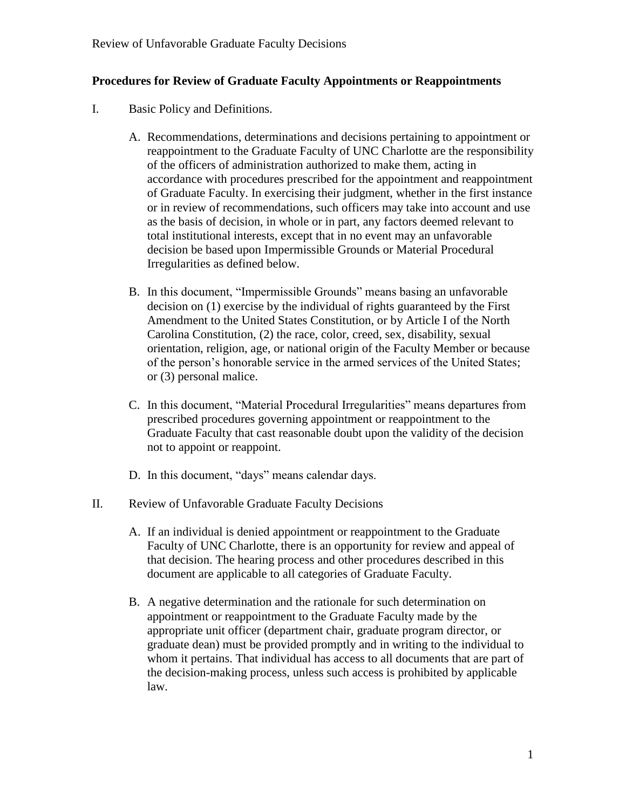## **Procedures for Review of Graduate Faculty Appointments or Reappointments**

- I. Basic Policy and Definitions.
	- A. Recommendations, determinations and decisions pertaining to appointment or reappointment to the Graduate Faculty of UNC Charlotte are the responsibility of the officers of administration authorized to make them, acting in accordance with procedures prescribed for the appointment and reappointment of Graduate Faculty. In exercising their judgment, whether in the first instance or in review of recommendations, such officers may take into account and use as the basis of decision, in whole or in part, any factors deemed relevant to total institutional interests, except that in no event may an unfavorable decision be based upon Impermissible Grounds or Material Procedural Irregularities as defined below.
	- B. In this document, "Impermissible Grounds" means basing an unfavorable decision on (1) exercise by the individual of rights guaranteed by the First Amendment to the United States Constitution, or by Article I of the North Carolina Constitution, (2) the race, color, creed, sex, disability, sexual orientation, religion, age, or national origin of the Faculty Member or because of the person's honorable service in the armed services of the United States; or (3) personal malice.
	- C. In this document, "Material Procedural Irregularities" means departures from prescribed procedures governing appointment or reappointment to the Graduate Faculty that cast reasonable doubt upon the validity of the decision not to appoint or reappoint.
	- D. In this document, "days" means calendar days.
- II. Review of Unfavorable Graduate Faculty Decisions
	- A. If an individual is denied appointment or reappointment to the Graduate Faculty of UNC Charlotte, there is an opportunity for review and appeal of that decision. The hearing process and other procedures described in this document are applicable to all categories of Graduate Faculty.
	- B. A negative determination and the rationale for such determination on appointment or reappointment to the Graduate Faculty made by the appropriate unit officer (department chair, graduate program director, or graduate dean) must be provided promptly and in writing to the individual to whom it pertains. That individual has access to all documents that are part of the decision-making process, unless such access is prohibited by applicable law.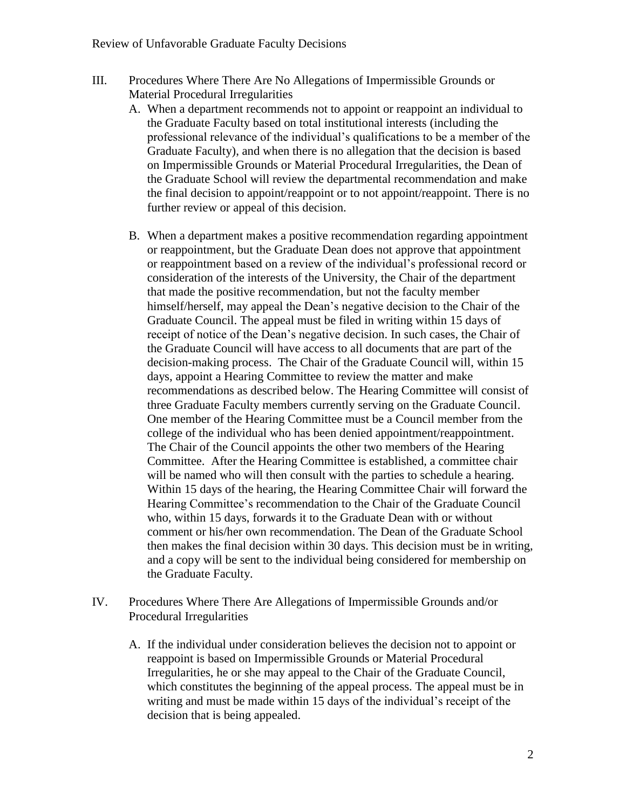- III. Procedures Where There Are No Allegations of Impermissible Grounds or Material Procedural Irregularities
	- A. When a department recommends not to appoint or reappoint an individual to the Graduate Faculty based on total institutional interests (including the professional relevance of the individual's qualifications to be a member of the Graduate Faculty), and when there is no allegation that the decision is based on Impermissible Grounds or Material Procedural Irregularities, the Dean of the Graduate School will review the departmental recommendation and make the final decision to appoint/reappoint or to not appoint/reappoint. There is no further review or appeal of this decision.
	- B. When a department makes a positive recommendation regarding appointment or reappointment, but the Graduate Dean does not approve that appointment or reappointment based on a review of the individual's professional record or consideration of the interests of the University, the Chair of the department that made the positive recommendation, but not the faculty member himself/herself, may appeal the Dean's negative decision to the Chair of the Graduate Council. The appeal must be filed in writing within 15 days of receipt of notice of the Dean's negative decision. In such cases, the Chair of the Graduate Council will have access to all documents that are part of the decision-making process. The Chair of the Graduate Council will, within 15 days, appoint a Hearing Committee to review the matter and make recommendations as described below. The Hearing Committee will consist of three Graduate Faculty members currently serving on the Graduate Council. One member of the Hearing Committee must be a Council member from the college of the individual who has been denied appointment/reappointment. The Chair of the Council appoints the other two members of the Hearing Committee. After the Hearing Committee is established, a committee chair will be named who will then consult with the parties to schedule a hearing. Within 15 days of the hearing, the Hearing Committee Chair will forward the Hearing Committee's recommendation to the Chair of the Graduate Council who, within 15 days, forwards it to the Graduate Dean with or without comment or his/her own recommendation. The Dean of the Graduate School then makes the final decision within 30 days. This decision must be in writing, and a copy will be sent to the individual being considered for membership on the Graduate Faculty.
- IV. Procedures Where There Are Allegations of Impermissible Grounds and/or Procedural Irregularities
	- A. If the individual under consideration believes the decision not to appoint or reappoint is based on Impermissible Grounds or Material Procedural Irregularities, he or she may appeal to the Chair of the Graduate Council, which constitutes the beginning of the appeal process. The appeal must be in writing and must be made within 15 days of the individual's receipt of the decision that is being appealed.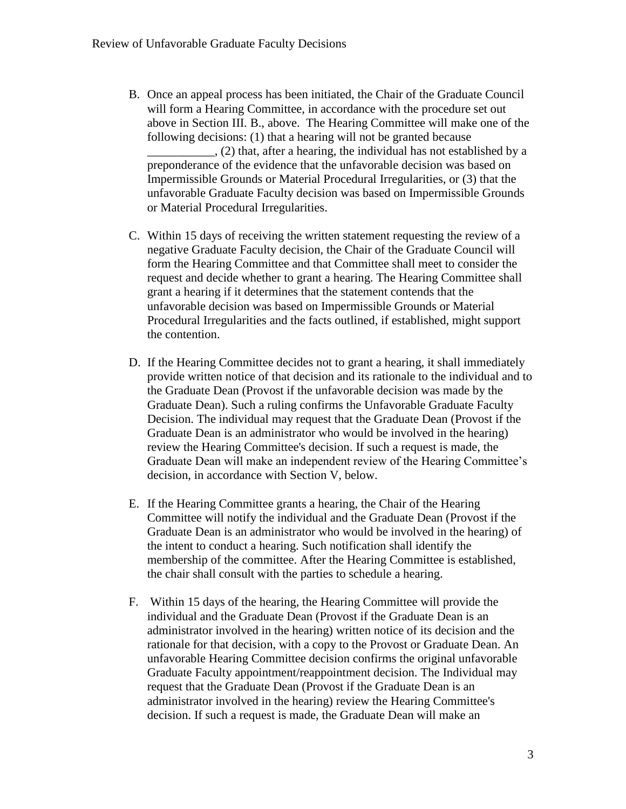- B. Once an appeal process has been initiated, the Chair of the Graduate Council will form a Hearing Committee, in accordance with the procedure set out above in Section III. B., above. The Hearing Committee will make one of the following decisions: (1) that a hearing will not be granted because \_\_\_\_\_\_\_\_\_\_\_, (2) that, after a hearing, the individual has not established by a preponderance of the evidence that the unfavorable decision was based on Impermissible Grounds or Material Procedural Irregularities, or (3) that the unfavorable Graduate Faculty decision was based on Impermissible Grounds or Material Procedural Irregularities.
- C. Within 15 days of receiving the written statement requesting the review of a negative Graduate Faculty decision, the Chair of the Graduate Council will form the Hearing Committee and that Committee shall meet to consider the request and decide whether to grant a hearing. The Hearing Committee shall grant a hearing if it determines that the statement contends that the unfavorable decision was based on Impermissible Grounds or Material Procedural Irregularities and the facts outlined, if established, might support the contention.
- D. If the Hearing Committee decides not to grant a hearing, it shall immediately provide written notice of that decision and its rationale to the individual and to the Graduate Dean (Provost if the unfavorable decision was made by the Graduate Dean). Such a ruling confirms the Unfavorable Graduate Faculty Decision. The individual may request that the Graduate Dean (Provost if the Graduate Dean is an administrator who would be involved in the hearing) review the Hearing Committee's decision. If such a request is made, the Graduate Dean will make an independent review of the Hearing Committee's decision, in accordance with Section V, below.
- E. If the Hearing Committee grants a hearing, the Chair of the Hearing Committee will notify the individual and the Graduate Dean (Provost if the Graduate Dean is an administrator who would be involved in the hearing) of the intent to conduct a hearing. Such notification shall identify the membership of the committee. After the Hearing Committee is established, the chair shall consult with the parties to schedule a hearing.
- F. Within 15 days of the hearing, the Hearing Committee will provide the individual and the Graduate Dean (Provost if the Graduate Dean is an administrator involved in the hearing) written notice of its decision and the rationale for that decision, with a copy to the Provost or Graduate Dean. An unfavorable Hearing Committee decision confirms the original unfavorable Graduate Faculty appointment/reappointment decision. The Individual may request that the Graduate Dean (Provost if the Graduate Dean is an administrator involved in the hearing) review the Hearing Committee's decision. If such a request is made, the Graduate Dean will make an